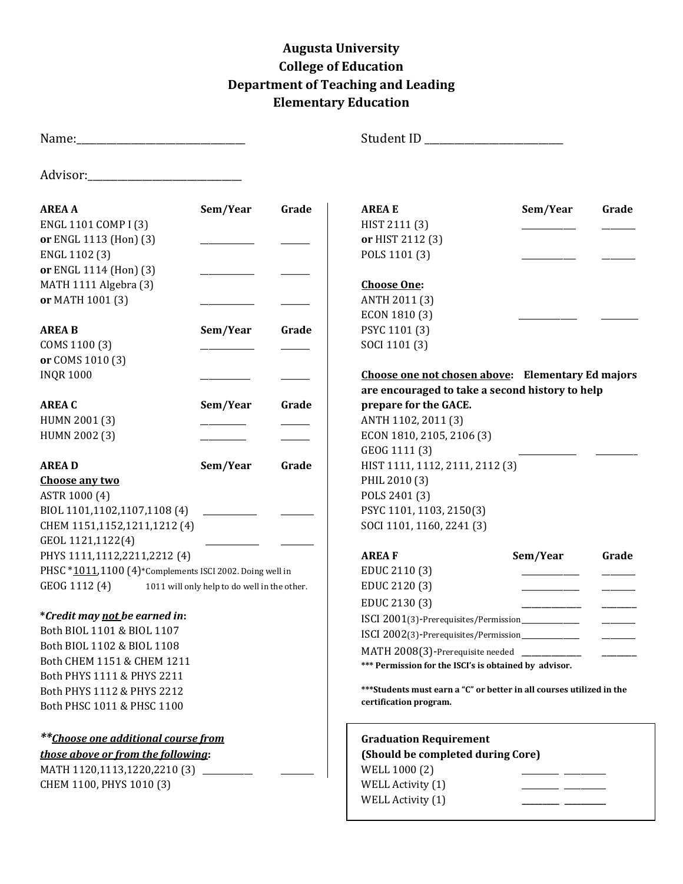## **Augusta University College of Education Department of Teaching and Leading Elementary Education**

|                                                            |          |       | Student ID ____________________                                       |          |       |
|------------------------------------------------------------|----------|-------|-----------------------------------------------------------------------|----------|-------|
|                                                            |          |       |                                                                       |          |       |
| <b>AREA A</b>                                              | Sem/Year | Grade | <b>AREA E</b>                                                         | Sem/Year | Grade |
| ENGL 1101 COMP I (3)                                       |          |       | HIST 2111 (3)                                                         |          |       |
| or ENGL 1113 (Hon) (3)                                     |          |       | or HIST 2112 (3)                                                      |          |       |
| ENGL 1102 (3)                                              |          |       | POLS 1101 (3)                                                         |          |       |
| or ENGL 1114 (Hon) (3)                                     |          |       |                                                                       |          |       |
| MATH 1111 Algebra (3)                                      |          |       | <b>Choose One:</b>                                                    |          |       |
| or MATH 1001 (3)                                           |          |       | ANTH 2011 (3)                                                         |          |       |
|                                                            |          |       | ECON 1810 (3)                                                         |          |       |
| <b>AREA B</b>                                              | Sem/Year | Grade | PSYC 1101 (3)                                                         |          |       |
| COMS 1100 (3)                                              |          |       | SOCI 1101 (3)                                                         |          |       |
| or COMS 1010 (3)                                           |          |       |                                                                       |          |       |
| <b>INQR1000</b>                                            |          |       | Choose one not chosen above: Elementary Ed majors                     |          |       |
|                                                            |          |       | are encouraged to take a second history to help                       |          |       |
| <b>AREA C</b>                                              | Sem/Year | Grade | prepare for the GACE.                                                 |          |       |
| HUMN 2001 (3)                                              |          |       | ANTH 1102, 2011 (3)                                                   |          |       |
| HUMN 2002 (3)                                              |          |       | ECON 1810, 2105, 2106 (3)                                             |          |       |
|                                                            |          |       | GEOG 1111 (3)                                                         |          |       |
| <b>AREAD</b>                                               | Sem/Year | Grade | HIST 1111, 1112, 2111, 2112 (3)                                       |          |       |
| Choose any two                                             |          |       | PHIL 2010 (3)                                                         |          |       |
| ASTR 1000 (4)                                              |          |       | POLS 2401 (3)                                                         |          |       |
| BIOL 1101,1102,1107,1108 (4)                               |          |       | PSYC 1101, 1103, 2150(3)                                              |          |       |
| CHEM 1151,1152,1211,1212 (4)                               |          |       | SOCI 1101, 1160, 2241 (3)                                             |          |       |
| GEOL 1121,1122(4)                                          |          |       |                                                                       |          |       |
| PHYS 1111,1112,2211,2212 (4)                               |          |       | <b>AREAF</b>                                                          | Sem/Year | Grade |
| PHSC *1011,1100 (4)*Complements ISCI 2002. Doing well in   |          |       | EDUC 2110 (3)                                                         |          |       |
| GEOG 1112 (4) 1011 will only help to do well in the other. |          |       | EDUC 2120 (3)                                                         |          |       |
|                                                            |          |       | EDUC 2130 (3)                                                         |          |       |
| *Credit may not be earned in:                              |          |       | ISCI 2001(3)-Prerequisites/Permission____________                     |          |       |
| Both BIOL 1101 & BIOL 1107                                 |          |       | ISCI 2002(3)-Prerequisites/Permission___________                      |          |       |
| Both BIOL 1102 & BIOL 1108                                 |          |       | MATH 2008(3)-Prerequisite needed ___________                          |          |       |
| Both CHEM 1151 & CHEM 1211                                 |          |       | *** Permission for the ISCI's is obtained by advisor.                 |          |       |
| Both PHYS 1111 & PHYS 2211                                 |          |       |                                                                       |          |       |
| Both PHYS 1112 & PHYS 2212                                 |          |       | *** Students must earn a "C" or better in all courses utilized in the |          |       |
| Both PHSC 1011 & PHSC 1100                                 |          |       | certification program.                                                |          |       |
| <i>**Choose one additional course from</i>                 |          |       | <b>Graduation Requirement</b>                                         |          |       |
| those above or from the following:                         |          |       | (Should be completed during Core)                                     |          |       |
| MATH 1120,1113,1220,2210 (3) ________                      |          |       | WELL 1000 (2)                                                         |          |       |
| CHEM 1100, PHYS 1010 (3)                                   |          |       | WELL Activity (1)                                                     |          |       |
|                                                            |          |       | WELL Activity (1)                                                     |          |       |